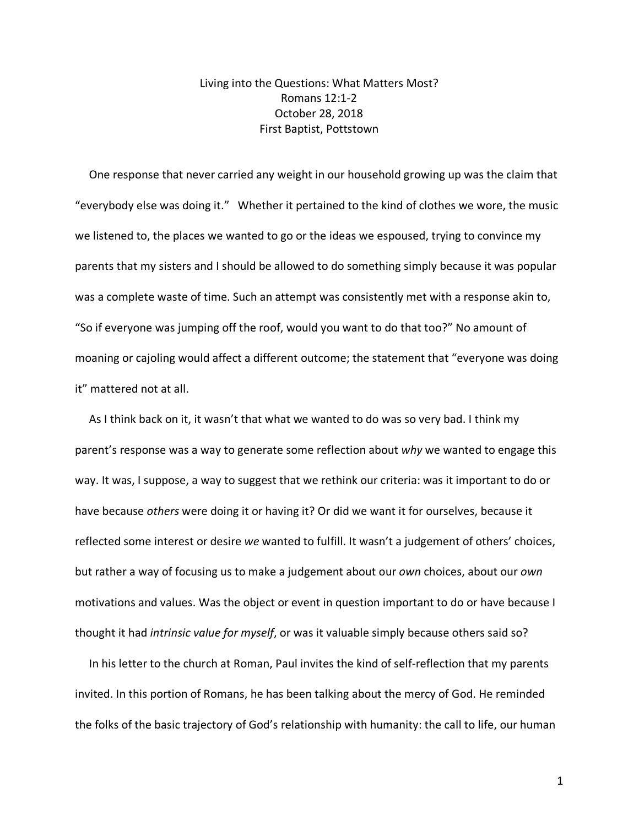## Living into the Questions: What Matters Most? Romans 12:1-2 October 28, 2018 First Baptist, Pottstown

 One response that never carried any weight in our household growing up was the claim that "everybody else was doing it." Whether it pertained to the kind of clothes we wore, the music we listened to, the places we wanted to go or the ideas we espoused, trying to convince my parents that my sisters and I should be allowed to do something simply because it was popular was a complete waste of time. Such an attempt was consistently met with a response akin to, "So if everyone was jumping off the roof, would you want to do that too?" No amount of moaning or cajoling would affect a different outcome; the statement that "everyone was doing it" mattered not at all.

 As I think back on it, it wasn't that what we wanted to do was so very bad. I think my parent's response was a way to generate some reflection about *why* we wanted to engage this way. It was, I suppose, a way to suggest that we rethink our criteria: was it important to do or have because *others* were doing it or having it? Or did we want it for ourselves, because it reflected some interest or desire *we* wanted to fulfill. It wasn't a judgement of others' choices, but rather a way of focusing us to make a judgement about our *own* choices, about our *own* motivations and values. Was the object or event in question important to do or have because I thought it had *intrinsic value for myself*, or was it valuable simply because others said so?

 In his letter to the church at Roman, Paul invites the kind of self-reflection that my parents invited. In this portion of Romans, he has been talking about the mercy of God. He reminded the folks of the basic trajectory of God's relationship with humanity: the call to life, our human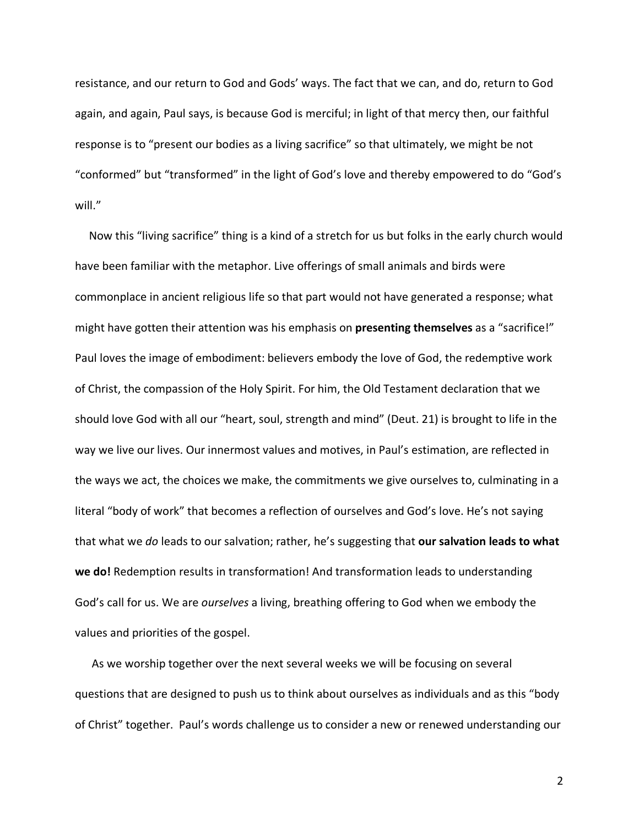resistance, and our return to God and Gods' ways. The fact that we can, and do, return to God again, and again, Paul says, is because God is merciful; in light of that mercy then, our faithful response is to "present our bodies as a living sacrifice" so that ultimately, we might be not "conformed" but "transformed" in the light of God's love and thereby empowered to do "God's will."

 Now this "living sacrifice" thing is a kind of a stretch for us but folks in the early church would have been familiar with the metaphor. Live offerings of small animals and birds were commonplace in ancient religious life so that part would not have generated a response; what might have gotten their attention was his emphasis on **presenting themselves** as a "sacrifice!" Paul loves the image of embodiment: believers embody the love of God, the redemptive work of Christ, the compassion of the Holy Spirit. For him, the Old Testament declaration that we should love God with all our "heart, soul, strength and mind" (Deut. 21) is brought to life in the way we live our lives. Our innermost values and motives, in Paul's estimation, are reflected in the ways we act, the choices we make, the commitments we give ourselves to, culminating in a literal "body of work" that becomes a reflection of ourselves and God's love. He's not saying that what we *do* leads to our salvation; rather, he's suggesting that **our salvation leads to what we do!** Redemption results in transformation! And transformation leads to understanding God's call for us. We are *ourselves* a living, breathing offering to God when we embody the values and priorities of the gospel.

 As we worship together over the next several weeks we will be focusing on several questions that are designed to push us to think about ourselves as individuals and as this "body of Christ" together. Paul's words challenge us to consider a new or renewed understanding our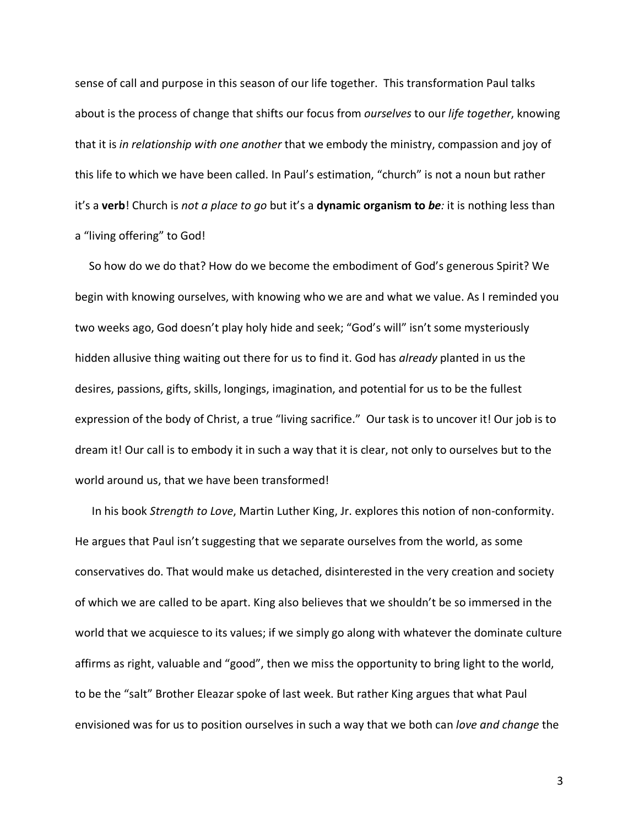sense of call and purpose in this season of our life together. This transformation Paul talks about is the process of change that shifts our focus from *ourselves* to our *life together*, knowing that it is *in relationship with one another* that we embody the ministry, compassion and joy of this life to which we have been called. In Paul's estimation, "church" is not a noun but rather it's a **verb**! Church is *not a place to go* but it's a **dynamic organism to** *be:* it is nothing less than a "living offering" to God!

 So how do we do that? How do we become the embodiment of God's generous Spirit? We begin with knowing ourselves, with knowing who we are and what we value. As I reminded you two weeks ago, God doesn't play holy hide and seek; "God's will" isn't some mysteriously hidden allusive thing waiting out there for us to find it. God has *already* planted in us the desires, passions, gifts, skills, longings, imagination, and potential for us to be the fullest expression of the body of Christ, a true "living sacrifice." Our task is to uncover it! Our job is to dream it! Our call is to embody it in such a way that it is clear, not only to ourselves but to the world around us, that we have been transformed!

 In his book *Strength to Love*, Martin Luther King, Jr. explores this notion of non-conformity. He argues that Paul isn't suggesting that we separate ourselves from the world, as some conservatives do. That would make us detached, disinterested in the very creation and society of which we are called to be apart. King also believes that we shouldn't be so immersed in the world that we acquiesce to its values; if we simply go along with whatever the dominate culture affirms as right, valuable and "good", then we miss the opportunity to bring light to the world, to be the "salt" Brother Eleazar spoke of last week. But rather King argues that what Paul envisioned was for us to position ourselves in such a way that we both can *love and change* the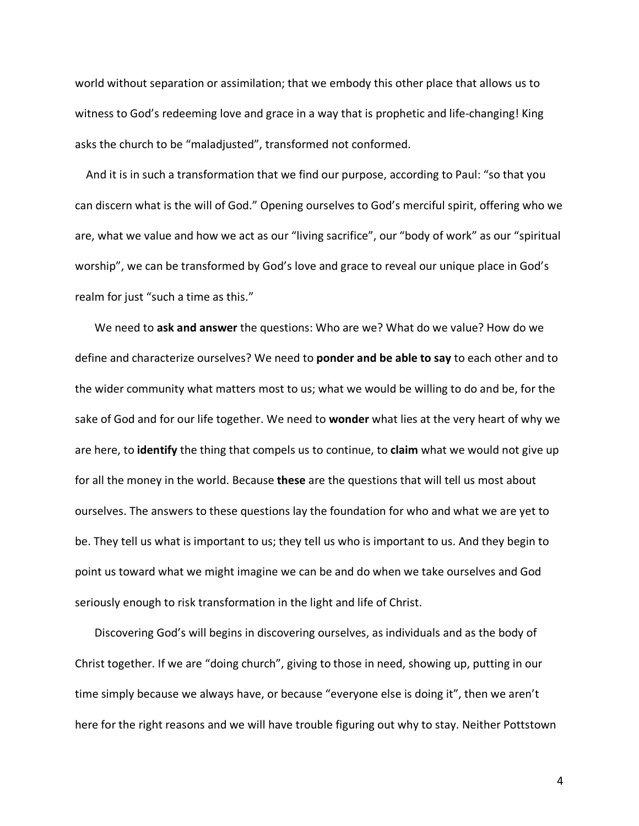world without separation or assimilation; that we embody this other place that allows us to witness to God's redeeming love and grace in a way that is prophetic and life-changing! King asks the church to be "maladjusted", transformed not conformed.

 And it is in such a transformation that we find our purpose, according to Paul: "so that you can discern what is the will of God." Opening ourselves to God's merciful spirit, offering who we are, what we value and how we act as our "living sacrifice", our "body of work" as our "spiritual worship", we can be transformed by God's love and grace to reveal our unique place in God's realm for just "such a time as this."

 We need to **ask and answer** the questions: Who are we? What do we value? How do we define and characterize ourselves? We need to **ponder and be able to say** to each other and to the wider community what matters most to us; what we would be willing to do and be, for the sake of God and for our life together. We need to **wonder** what lies at the very heart of why we are here, to **identify** the thing that compels us to continue, to **claim** what we would not give up for all the money in the world. Because **these** are the questions that will tell us most about ourselves. The answers to these questions lay the foundation for who and what we are yet to be. They tell us what is important to us; they tell us who is important to us. And they begin to point us toward what we might imagine we can be and do when we take ourselves and God seriously enough to risk transformation in the light and life of Christ.

 Discovering God's will begins in discovering ourselves, as individuals and as the body of Christ together. If we are "doing church", giving to those in need, showing up, putting in our time simply because we always have, or because "everyone else is doing it", then we aren't here for the right reasons and we will have trouble figuring out why to stay. Neither Pottstown